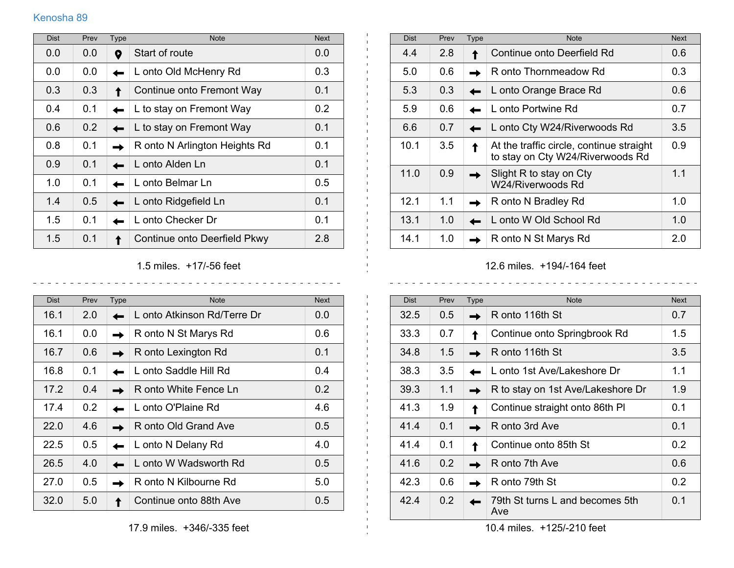## Kenosha 89

| <b>Dist</b> | Prev | <b>Type</b> | <b>Note</b>                   | <b>Next</b> |
|-------------|------|-------------|-------------------------------|-------------|
| 0.0         | 0.0  | 0           | Start of route                | 0.0         |
| 0.0         | 0.0  |             | L onto Old McHenry Rd         | 0.3         |
| 0.3         | 0.3  |             | Continue onto Fremont Way     | 0.1         |
| 0.4         | 0.1  |             | L to stay on Fremont Way      | 0.2         |
| 0.6         | 0.2  |             | L to stay on Fremont Way      | 0.1         |
| 0.8         | 0.1  |             | R onto N Arlington Heights Rd | 0.1         |
| 0.9         | 0.1  |             | L onto Alden Ln               | 0.1         |
| 1.0         | 0.1  |             | L onto Belmar Ln              | 0.5         |
| 1.4         | 0.5  |             | L onto Ridgefield Ln          | 0.1         |
| 1.5         | 0.1  |             | L onto Checker Dr             | 0.1         |
| 1.5         | 0.1  |             | Continue onto Deerfield Pkwy  | 2.8         |

1.5 miles. +17/-56 feet

 $- - - - - - - -$ 

 $\mathbf{L}$ 

 $\mathbf{I}$  $\pm$ 

 $\mathbf{L}$ 

<u>. . . . . . . . . . . . . .</u>

| <b>Dist</b> | Prev          | Type | <b>Note</b>                 | <b>Next</b>   |
|-------------|---------------|------|-----------------------------|---------------|
| 16.1        | 2.0           |      | L onto Atkinson Rd/Terre Dr | 0.0           |
| 16.1        | 0.0           |      | R onto N St Marys Rd        | 0.6           |
| 16.7        | 0.6           |      | R onto Lexington Rd         | 0.1           |
| 16.8        | 0.1           |      | L onto Saddle Hill Rd       | 0.4           |
| 17.2        | 0.4           |      | R onto White Fence Ln       | 0.2           |
| 17.4        | $0.2^{\circ}$ |      | L onto O'Plaine Rd          | 4.6           |
| 22.0        | 4.6           |      | R onto Old Grand Ave        | $0.5^{\circ}$ |
| 22.5        | 0.5           |      | L onto N Delany Rd          | 4.0           |
| 26.5        | 4.0           |      | L onto W Wadsworth Rd       | $0.5^{\circ}$ |
| 27.0        | 0.5           |      | R onto N Kilbourne Rd       | 5.0           |
| 32.0        | 5.0           |      | Continue onto 88th Ave      | 0.5           |

| <b>Dist</b> | Prev | <b>Type</b> | <b>Note</b>                                                                  | <b>Next</b> |
|-------------|------|-------------|------------------------------------------------------------------------------|-------------|
| 4.4         | 2.8  |             | Continue onto Deerfield Rd                                                   | 0.6         |
| 5.0         | 0.6  |             | R onto Thornmeadow Rd                                                        | 0.3         |
| 5.3         | 0.3  |             | L onto Orange Brace Rd                                                       | 0.6         |
| 5.9         | 0.6  |             | L onto Portwine Rd                                                           | 0.7         |
| 6.6         | 0.7  |             | L onto Cty W24/Riverwoods Rd                                                 | 3.5         |
| 10.1        | 3.5  |             | At the traffic circle, continue straight<br>to stay on Cty W24/Riverwoods Rd | 0.9         |
| 11.0        | 0.9  |             | Slight R to stay on Cty<br>W24/Riverwoods Rd                                 | 1.1         |
| 12.1        | 1.1  |             | R onto N Bradley Rd                                                          | 1.0         |
| 13.1        | 1.0  |             | L onto W Old School Rd                                                       | 1.0         |
| 14.1        | 1.0  |             | R onto N St Marys Rd                                                         | 2.0         |

12.6 miles. +194/-164 feet

 $\sim$   $\sim$ 

| <b>Dist</b> | Prev | <b>Type</b> | <b>Note</b>                            | <b>Next</b> |
|-------------|------|-------------|----------------------------------------|-------------|
| 32.5        | 0.5  |             | R onto 116th St                        | 0.7         |
| 33.3        | 0.7  |             | Continue onto Springbrook Rd           | 1.5         |
| 34.8        | 1.5  |             | R onto 116th St                        | 3.5         |
| 38.3        | 3.5  |             | L onto 1st Ave/Lakeshore Dr            | 1.1         |
| 39.3        | 1.1  |             | R to stay on 1st Ave/Lakeshore Dr      | 1.9         |
| 41.3        | 1.9  |             | Continue straight onto 86th PI         | 0.1         |
| 41.4        | 0.1  |             | R onto 3rd Ave                         | 0.1         |
| 41.4        | 0.1  |             | Continue onto 85th St                  | 0.2         |
| 41.6        | 0.2  |             | R onto 7th Ave                         | 0.6         |
| 42.3        | 0.6  |             | R onto 79th St                         | 0.2         |
| 42.4        | 0.2  |             | 79th St turns L and becomes 5th<br>Ave | 0.1         |

10.4 miles. +125/-210 feet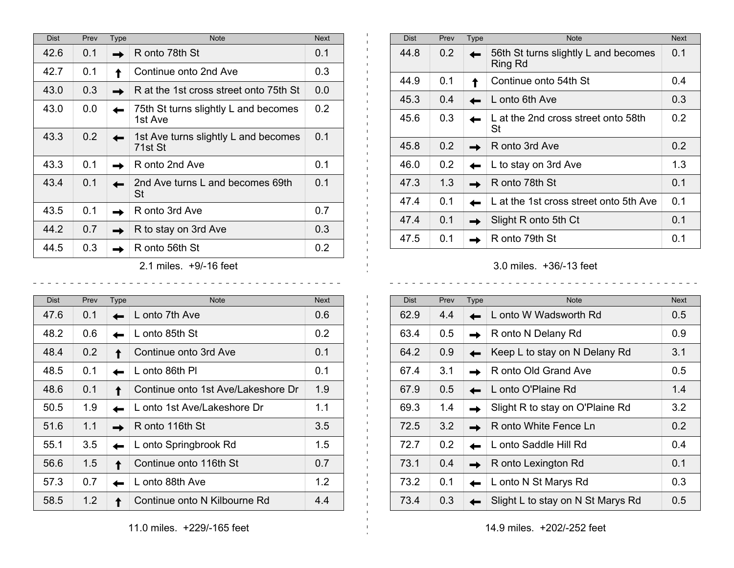| <b>Dist</b> | Prev | Type | <b>Note</b>                                     | <b>Next</b>      |
|-------------|------|------|-------------------------------------------------|------------------|
| 42.6        | 0.1  |      | R onto 78th St                                  | 0.1              |
| 42.7        | 0.1  |      | Continue onto 2nd Ave                           | 0.3              |
| 43.0        | 0.3  |      | R at the 1st cross street onto 75th St          | 0.0              |
| 43.0        | 0.0  |      | 75th St turns slightly L and becomes<br>1st Ave | 0.2              |
| 43.3        | 0.2  |      | 1st Ave turns slightly L and becomes<br>71st St | 0.1              |
| 43.3        | 0.1  |      | R onto 2nd Ave                                  | 0.1              |
| 43.4        | 0.1  |      | 2nd Ave turns L and becomes 69th<br>St          | 0.1              |
| 43.5        | 0.1  |      | R onto 3rd Ave                                  | 0.7              |
| 44.2        | 0.7  |      | R to stay on 3rd Ave                            | 0.3 <sub>2</sub> |
| 44.5        | 0.3  |      | R onto 56th St                                  | 0.2              |
|             |      |      | $0.4 \cdot 1.6 \cdot 10^{14}$                   |                  |

2.1 miles. +9/-16 feet

| <b>Dist</b> | Prev | Type | <b>Note</b>                        | <b>Next</b>      |
|-------------|------|------|------------------------------------|------------------|
| 47.6        | 0.1  |      | L onto 7th Ave                     | 0.6              |
| 48.2        | 0.6  |      | L onto 85th St                     | 0.2 <sub>0</sub> |
| 48.4        | 0.2  |      | Continue onto 3rd Ave              | 0.1              |
| 48.5        | 0.1  |      | L onto 86th Pl                     | 0.1              |
| 48.6        | 0.1  |      | Continue onto 1st Ave/Lakeshore Dr | 1.9              |
| 50.5        | 1.9  |      | L onto 1st Ave/Lakeshore Dr        | 1.1              |
| 51.6        | 1.1  |      | R onto 116th St                    | 3.5              |
| 55.1        | 3.5  |      | L onto Springbrook Rd              | 1.5              |
| 56.6        | 1.5  |      | Continue onto 116th St             | 0.7              |
| 57.3        | 0.7  |      | L onto 88th Ave                    | 1.2              |
| 58.5        | 1.2  |      | Continue onto N Kilbourne Rd       | 4.4              |

| <b>Dist</b> | Prev          | <b>Type</b> | <b>Note</b>                                     | <b>Next</b>   |
|-------------|---------------|-------------|-------------------------------------------------|---------------|
| 44.8        | 0.2           |             | 56th St turns slightly L and becomes<br>Ring Rd | 0.1           |
| 44.9        | 0.1           |             | Continue onto 54th St                           | 0.4           |
| 45.3        | 0.4           |             | L onto 6th Ave                                  | 0.3           |
| 45.6        | 0.3           |             | L at the 2nd cross street onto 58th<br>St       | 0.2           |
| 45.8        | $0.2^{\circ}$ |             | R onto 3rd Ave                                  | $0.2^{\circ}$ |
| 46.0        | 0.2           |             | L to stay on 3rd Ave                            | 1.3           |
| 47.3        | 1.3           |             | R onto 78th St                                  | 0.1           |
| 47.4        | 0.1           |             | L at the 1st cross street onto 5th Ave          | 0.1           |
| 47.4        | 0.1           |             | Slight R onto 5th Ct                            | 0.1           |
| 47.5        | 0.1           |             | R onto 79th St                                  | 0.1           |

3.0 miles. +36/-13 feet

| <b>Dist</b> | Prev          | <b>Type</b> | <b>Note</b>                       | <b>Next</b>   |
|-------------|---------------|-------------|-----------------------------------|---------------|
| 62.9        | 4.4           |             | L onto W Wadsworth Rd             | $0.5^{\circ}$ |
| 63.4        | $0.5^{\circ}$ |             | R onto N Delany Rd                | 0.9           |
| 64.2        | 0.9           |             | Keep L to stay on N Delany Rd     | 3.1           |
| 67.4        | 3.1           |             | R onto Old Grand Ave              | $0.5^{\circ}$ |
| 67.9        | 0.5           |             | L onto O'Plaine Rd                | 1.4           |
| 69.3        | 1.4           |             | Slight R to stay on O'Plaine Rd   | 3.2           |
| 72.5        | 3.2           |             | R onto White Fence Ln             | 0.2           |
| 72.7        | 0.2           |             | L onto Saddle Hill Rd             | 0.4           |
| 73.1        | 0.4           |             | R onto Lexington Rd               | 0.1           |
| 73.2        | 0.1           |             | L onto N St Marys Rd              | 0.3           |
| 73.4        | 0.3           |             | Slight L to stay on N St Marys Rd | 0.5           |

 $\mathbf{L}$